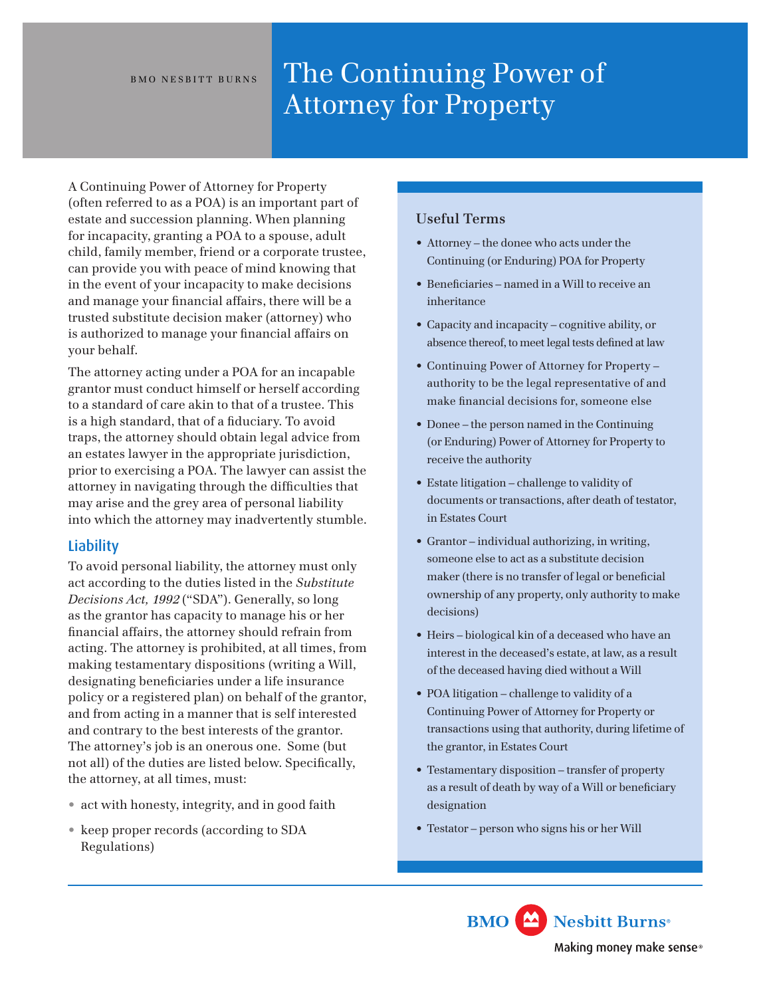# BMO NESBITT BURNS The Continuing Power of Attorney for Property

A Continuing Power of Attorney for Property (often referred to as a POA) is an important part of estate and succession planning. When planning for incapacity, granting a POA to a spouse, adult child, family member, friend or a corporate trustee, can provide you with peace of mind knowing that in the event of your incapacity to make decisions and manage your financial affairs, there will be a trusted substitute decision maker (attorney) who is authorized to manage your financial affairs on your behalf.

The attorney acting under a POA for an incapable grantor must conduct himself or herself according to a standard of care akin to that of a trustee. This is a high standard, that of a fiduciary. To avoid traps, the attorney should obtain legal advice from an estates lawyer in the appropriate jurisdiction, prior to exercising a POA. The lawyer can assist the attorney in navigating through the difficulties that may arise and the grey area of personal liability into which the attorney may inadvertently stumble.

# **Liability**

To avoid personal liability, the attorney must only act according to the duties listed in the *Substitute Decisions Act, 1992* ("SDA"). Generally, so long as the grantor has capacity to manage his or her financial affairs, the attorney should refrain from acting. The attorney is prohibited, at all times, from making testamentary dispositions (writing a Will, designating beneficiaries under a life insurance policy or a registered plan) on behalf of the grantor, and from acting in a manner that is self interested and contrary to the best interests of the grantor. The attorney's job is an onerous one. Some (but not all) of the duties are listed below. Specifically, the attorney, at all times, must:

- act with honesty, integrity, and in good faith
- keep proper records (according to SDA Regulations)

## **Useful Terms**

• Attorney – the donee who acts under the Continuing (or Enduring) POA for Property

 $\epsilon_{\rm eff}$  and explain to the grantor (regardless of  $\epsilon_{\rm eff}$ 

- Beneficiaries named in a Will to receive an inheritance
- Capacity and incapacity cognitive ability, or absence thereof, to meet legal tests defined at law
- Continuing Power of Attorney for Property authority to be the legal representative of and make financial decisions for, someone else
- Donee the person named in the Continuing (or Enduring) Power of Attorney for Property to receive the authority
- Estate litigation challenge to validity of documents or transactions, after death of testator, in Estates Court
- Grantor individual authorizing, in writing, someone else to act as a substitute decision maker (there is no transfer of legal or beneficial ownership of any property, only authority to make decisions)
- Heirs biological kin of a deceased who have an interest in the deceased's estate, at law, as a result of the deceased having died without a Will
- POA litigation challenge to validity of a Continuing Power of Attorney for Property or transactions using that authority, during lifetime of the grantor, in Estates Court
- Testamentary disposition transfer of property as a result of death by way of a Will or beneficiary designation
- Testator person who signs his or her Will

Nesbitt Burns **BMO** Making money make sense®